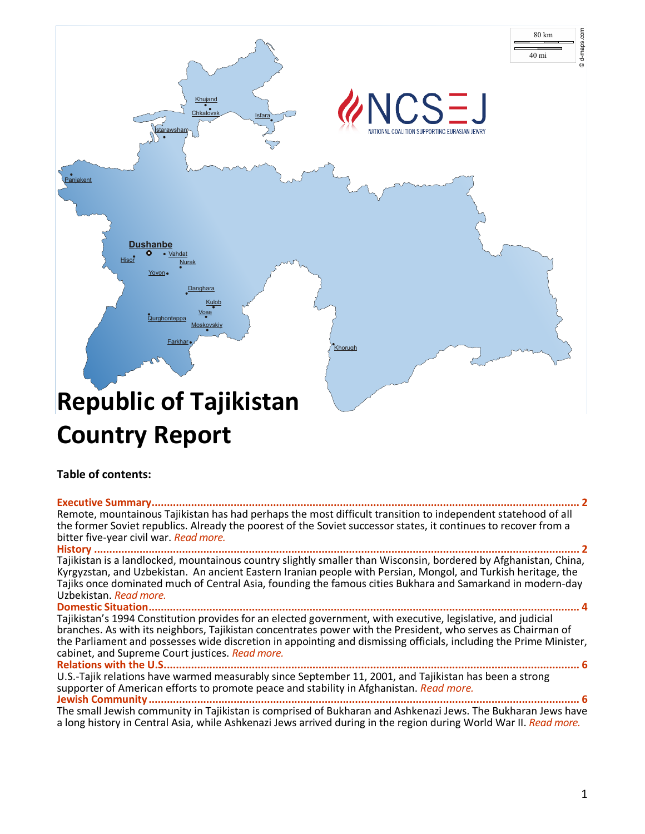

# **Country Report**

## **Table of contents:**

**[Executive Summary.............................................................................................................................................](#page-1-0) 2** Remote, mountainous Tajikistan has had perhaps the most difficult transition to independent statehood of all the former Soviet republics. Already the poorest of the Soviet successor states, it continues to recover from a bitter five-year civil war. *[Read more.](#page-1-0)* **History [................................................................................................................................................................](#page-1-1) 2** Tajikistan is a landlocked, mountainous country slightly smaller than Wisconsin, bordered by Afghanistan, China, Kyrgyzstan, and Uzbekistan. An ancient Eastern Iranian people with Persian, Mongol, and Turkish heritage, the Tajiks once dominated much of Central Asia, founding the famous cities Bukhara and Samarkand in modern-day Uzbekistan. *[Read more.](#page-1-1)* **[Domestic Situation..............................................................................................................................................](#page-3-0) 4** Tajikistan's 1994 Constitution provides for an elected government, with executive, legislative, and judicial branches. As with its neighbors, Tajikistan concentrates power with the President, who serves as Chairman of the Parliament and possesses wide discretion in appointing and dismissing officials, including the Prime Minister, cabinet, and Supreme Court justices. *[Read more.](#page-3-0)* **[Relations with the U.S.........................................................................................................................................](#page-5-0) 6** U.S.-Tajik relations have warmed measurably since September 11, 2001, and Tajikistan has been a strong supporter of American efforts to promote peace and stability in Afghanistan. *[Read more.](#page-5-0)*

**[Jewish Community..............................................................................................................................................](#page-6-0) 6** The small Jewish community in Tajikistan is comprised of Bukharan and Ashkenazi Jews. The Bukharan Jews have a long history in Central Asia, while Ashkenazi Jews arrived during in the region during World War II. *[Read more.](#page-6-0)*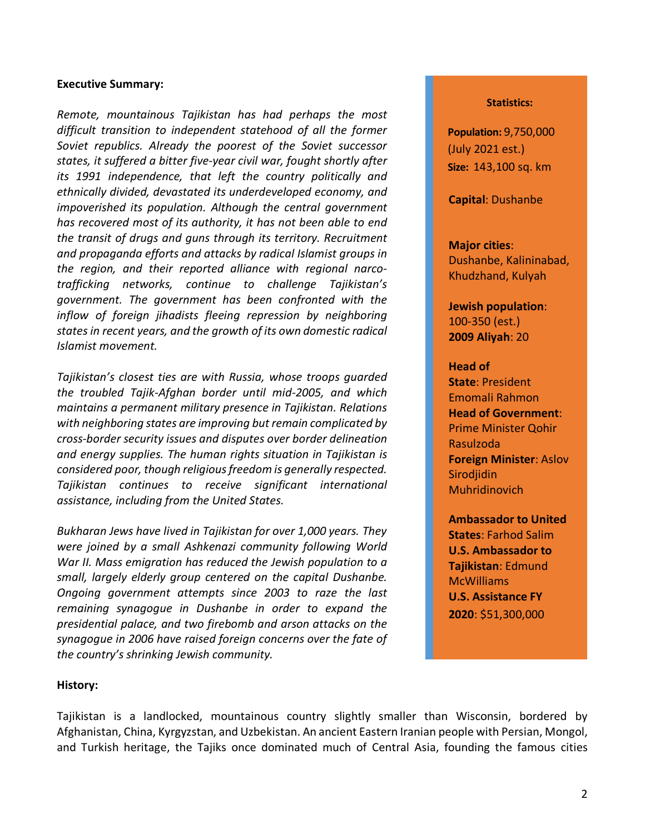## <span id="page-1-0"></span>**Executive Summary:**

*Remote, mountainous Tajikistan has had perhaps the most difficult transition to independent statehood of all the former Soviet republics. Already the poorest of the Soviet successor states, it suffered a bitter five-year civil war, fought shortly after its 1991 independence, that left the country politically and ethnically divided, devastated its underdeveloped economy, and impoverished its population. Although the central government has recovered most of its authority, it has not been able to end the transit of drugs and guns through its territory. Recruitment and propaganda efforts and attacks by radical Islamist groups in the region, and their reported alliance with regional narcotrafficking networks, continue to challenge Tajikistan's government. The government has been confronted with the inflow of foreign jihadists fleeing repression by neighboring states in recent years, and the growth of its own domestic radical Islamist movement.*

*Tajikistan's closest ties are with Russia, whose troops guarded the troubled Tajik-Afghan border until mid-2005, and which maintains a permanent military presence in Tajikistan. Relations with neighboring states are improving but remain complicated by cross-border security issues and disputes over border delineation and energy supplies. The human rights situation in Tajikistan is considered poor, though religious freedom is generally respected. Tajikistan continues to receive significant international assistance, including from the United States.*

*Bukharan Jews have lived in Tajikistan for over 1,000 years. They were joined by a small Ashkenazi community following World War II. Mass emigration has reduced the Jewish population to a small, largely elderly group centered on the capital Dushanbe. Ongoing government attempts since 2003 to raze the last remaining synagogue in Dushanbe in order to expand the presidential palace, and two firebomb and arson attacks on the synagogue in 2006 have raised foreign concerns over the fate of the country's shrinking Jewish community.*

#### **Statistics:**

**Population:** 9,750,000 (July 2021 est.) **Size:** 143,100 sq. km

**Capital**: Dushanbe

### **Major cities**:

Dushanbe, Kalininabad, Khudzhand, Kulyah

**Jewish population**: 100-350 (est.) **2009 Aliyah**: 20

### **Head of**

**State**: President Emomali Rahmon **Head of Government**: Prime Minister Qohir Rasulzoda **Foreign Minister**: Aslov **Sirodjidin** Muhridinovich

**Ambassador to United States**: Farhod Salim **U.S. Ambassador to Tajikistan**: Edmund McWilliams **U.S. Assistance FY 2020**: \$51,300,000

## <span id="page-1-1"></span>**History:**

Tajikistan is a landlocked, mountainous country slightly smaller than Wisconsin, bordered by Afghanistan, China, Kyrgyzstan, and Uzbekistan. An ancient Eastern Iranian people with Persian, Mongol, and Turkish heritage, the Tajiks once dominated much of Central Asia, founding the famous cities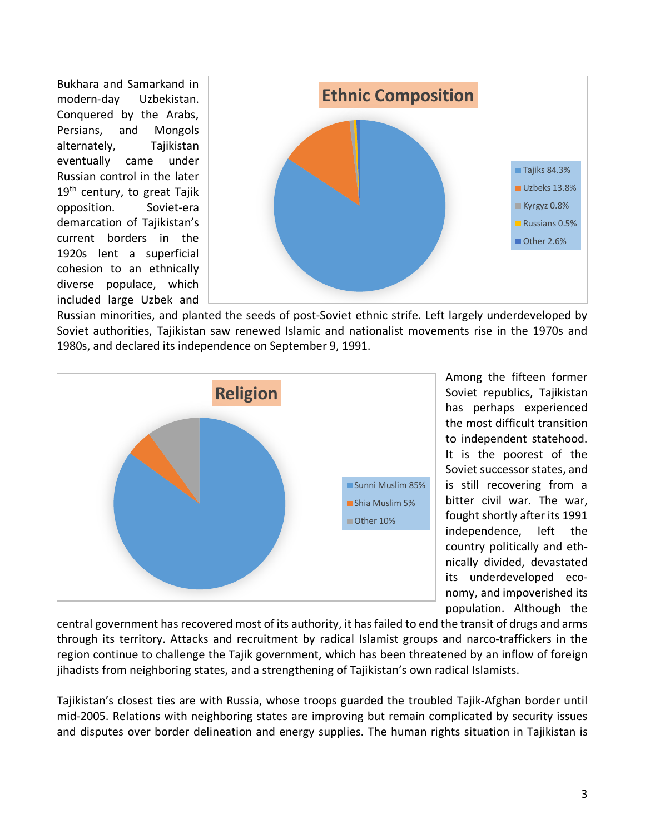Bukhara and Samarkand in modern-day Uzbekistan. Conquered by the Arabs, Persians, and Mongols alternately, Tajikistan eventually came under Russian control in the later  $19<sup>th</sup>$  century, to great Tajik opposition. Soviet-era demarcation of Tajikistan's current borders in the 1920s lent a superficial cohesion to an ethnically diverse populace, which included large Uzbek and



Russian minorities, and planted the seeds of post-Soviet ethnic strife. Left largely underdeveloped by Soviet authorities, Tajikistan saw renewed Islamic and nationalist movements rise in the 1970s and 1980s, and declared its independence on September 9, 1991.



Among the fifteen former Soviet republics, Tajikistan has perhaps experienced the most difficult transition to independent statehood. It is the poorest of the Soviet successor states, and is still recovering from a bitter civil war. The war, fought shortly after its 1991 independence, left the country politically and ethnically divided, devastated its underdeveloped economy, and impoverished its population. Although the

central government has recovered most of its authority, it has failed to end the transit of drugs and arms through its territory. Attacks and recruitment by radical Islamist groups and narco-traffickers in the region continue to challenge the Tajik government, which has been threatened by an inflow of foreign jihadists from neighboring states, and a strengthening of Tajikistan's own radical Islamists.

Tajikistan's closest ties are with Russia, whose troops guarded the troubled Tajik-Afghan border until mid-2005. Relations with neighboring states are improving but remain complicated by security issues and disputes over border delineation and energy supplies. The human rights situation in Tajikistan is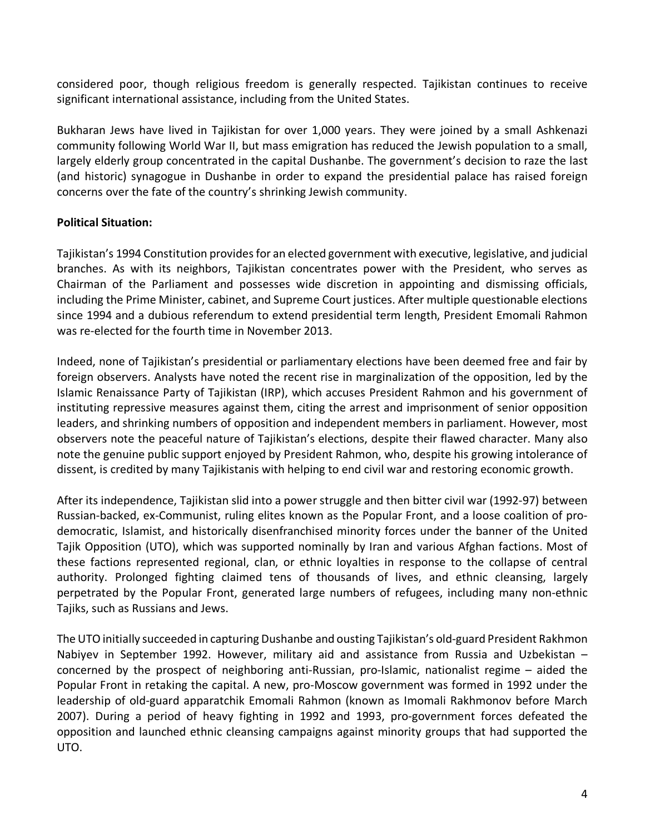considered poor, though religious freedom is generally respected. Tajikistan continues to receive significant international assistance, including from the United States.

Bukharan Jews have lived in Tajikistan for over 1,000 years. They were joined by a small Ashkenazi community following World War II, but mass emigration has reduced the Jewish population to a small, largely elderly group concentrated in the capital Dushanbe. The government's decision to raze the last (and historic) synagogue in Dushanbe in order to expand the presidential palace has raised foreign concerns over the fate of the country's shrinking Jewish community.

# <span id="page-3-0"></span>**Political Situation:**

Tajikistan's 1994 Constitution provides for an elected government with executive, legislative, and judicial branches. As with its neighbors, Tajikistan concentrates power with the President, who serves as Chairman of the Parliament and possesses wide discretion in appointing and dismissing officials, including the Prime Minister, cabinet, and Supreme Court justices. After multiple questionable elections since 1994 and a dubious referendum to extend presidential term length, President Emomali Rahmon was re-elected for the fourth time in November 2013.

Indeed, none of Tajikistan's presidential or parliamentary elections have been deemed free and fair by foreign observers. Analysts have noted the recent rise in marginalization of the opposition, led by the Islamic Renaissance Party of Tajikistan (IRP), which accuses President Rahmon and his government of instituting repressive measures against them, citing the arrest and imprisonment of senior opposition leaders, and shrinking numbers of opposition and independent members in parliament. However, most observers note the peaceful nature of Tajikistan's elections, despite their flawed character. Many also note the genuine public support enjoyed by President Rahmon, who, despite his growing intolerance of dissent, is credited by many Tajikistanis with helping to end civil war and restoring economic growth.

After its independence, Tajikistan slid into a power struggle and then bitter civil war (1992-97) between Russian-backed, ex-Communist, ruling elites known as the Popular Front, and a loose coalition of prodemocratic, Islamist, and historically disenfranchised minority forces under the banner of the United Tajik Opposition (UTO), which was supported nominally by Iran and various Afghan factions. Most of these factions represented regional, clan, or ethnic loyalties in response to the collapse of central authority. Prolonged fighting claimed tens of thousands of lives, and ethnic cleansing, largely perpetrated by the Popular Front, generated large numbers of refugees, including many non-ethnic Tajiks, such as Russians and Jews.

The UTO initially succeeded in capturing Dushanbe and ousting Tajikistan's old-guard President Rakhmon Nabiyev in September 1992. However, military aid and assistance from Russia and Uzbekistan – concerned by the prospect of neighboring anti-Russian, pro-Islamic, nationalist regime – aided the Popular Front in retaking the capital. A new, pro-Moscow government was formed in 1992 under the leadership of old-guard apparatchik Emomali Rahmon (known as Imomali Rakhmonov before March 2007). During a period of heavy fighting in 1992 and 1993, pro-government forces defeated the opposition and launched ethnic cleansing campaigns against minority groups that had supported the UTO.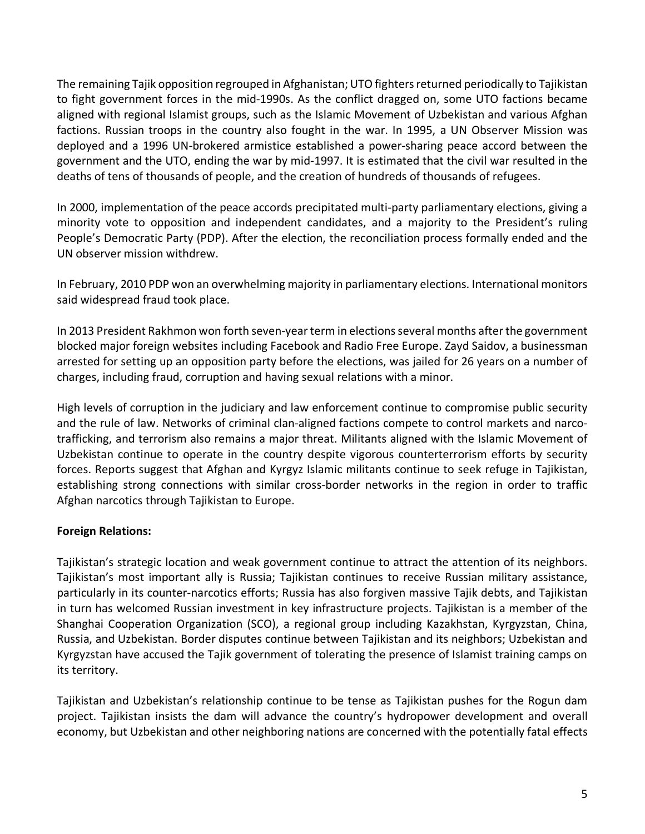The remaining Tajik opposition regrouped in Afghanistan; UTO fighters returned periodically to Tajikistan to fight government forces in the mid-1990s. As the conflict dragged on, some UTO factions became aligned with regional Islamist groups, such as the Islamic Movement of Uzbekistan and various Afghan factions. Russian troops in the country also fought in the war. In 1995, a UN Observer Mission was deployed and a 1996 UN-brokered armistice established a power-sharing peace accord between the government and the UTO, ending the war by mid-1997. It is estimated that the civil war resulted in the deaths of tens of thousands of people, and the creation of hundreds of thousands of refugees.

In 2000, implementation of the peace accords precipitated multi-party parliamentary elections, giving a minority vote to opposition and independent candidates, and a majority to the President's ruling People's Democratic Party (PDP). After the election, the reconciliation process formally ended and the UN observer mission withdrew.

In February, 2010 PDP won an overwhelming majority in parliamentary elections. International monitors said widespread fraud took place.

In 2013 President Rakhmon won forth seven-year term in elections several months after the government blocked major foreign websites including Facebook and Radio Free Europe. Zayd Saidov, a businessman arrested for setting up an opposition party before the elections, was jailed for 26 years on a number of charges, including fraud, corruption and having sexual relations with a minor.

High levels of corruption in the judiciary and law enforcement continue to compromise public security and the rule of law. Networks of criminal clan-aligned factions compete to control markets and narcotrafficking, and terrorism also remains a major threat. Militants aligned with the Islamic Movement of Uzbekistan continue to operate in the country despite vigorous counterterrorism efforts by security forces. Reports suggest that Afghan and Kyrgyz Islamic militants continue to seek refuge in Tajikistan, establishing strong connections with similar cross-border networks in the region in order to traffic Afghan narcotics through Tajikistan to Europe.

## **Foreign Relations:**

Tajikistan's strategic location and weak government continue to attract the attention of its neighbors. Tajikistan's most important ally is Russia; Tajikistan continues to receive Russian military assistance, particularly in its counter-narcotics efforts; Russia has also forgiven massive Tajik debts, and Tajikistan in turn has welcomed Russian investment in key infrastructure projects. Tajikistan is a member of the Shanghai Cooperation Organization (SCO), a regional group including Kazakhstan, Kyrgyzstan, China, Russia, and Uzbekistan. Border disputes continue between Tajikistan and its neighbors; Uzbekistan and Kyrgyzstan have accused the Tajik government of tolerating the presence of Islamist training camps on its territory.

Tajikistan and Uzbekistan's relationship continue to be tense as Tajikistan pushes for the Rogun dam project. Tajikistan insists the dam will advance the country's hydropower development and overall economy, but Uzbekistan and other neighboring nations are concerned with the potentially fatal effects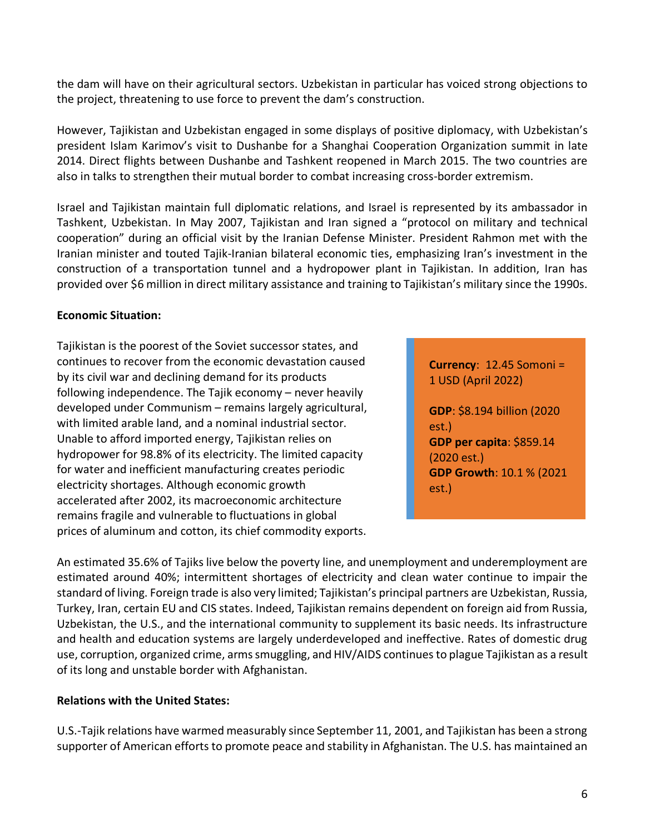the dam will have on their agricultural sectors. Uzbekistan in particular has voiced strong objections to the project, threatening to use force to prevent the dam's construction.

However, Tajikistan and Uzbekistan engaged in some displays of positive diplomacy, with Uzbekistan's president Islam Karimov's visit to Dushanbe for a Shanghai Cooperation Organization summit in late 2014. Direct flights between Dushanbe and Tashkent reopened in March 2015. The two countries are also in talks to strengthen their mutual border to combat increasing cross-border extremism.

Israel and Tajikistan maintain full diplomatic relations, and Israel is represented by its ambassador in Tashkent, Uzbekistan. In May 2007, Tajikistan and Iran signed a "protocol on military and technical cooperation" during an official visit by the Iranian Defense Minister. President Rahmon met with the Iranian minister and touted Tajik-Iranian bilateral economic ties, emphasizing Iran's investment in the construction of a transportation tunnel and a hydropower plant in Tajikistan. In addition, Iran has provided over \$6 million in direct military assistance and training to Tajikistan's military since the 1990s.

## **Economic Situation:**

Tajikistan is the poorest of the Soviet successor states, and continues to recover from the economic devastation caused by its civil war and declining demand for its products following independence. The Tajik economy – never heavily developed under Communism – remains largely agricultural, with limited arable land, and a nominal industrial sector. Unable to afford imported energy, Tajikistan relies on hydropower for 98.8% of its electricity. The limited capacity for water and inefficient manufacturing creates periodic electricity shortages. Although economic growth accelerated after 2002, its macroeconomic architecture remains fragile and vulnerable to fluctuations in global prices of aluminum and cotton, its chief commodity exports.

**Currency**: 12.45 Somoni = 1 USD (April 2022)

**GDP**: \$8.194 billion (2020 est.) **GDP per capita**: \$859.14 (2020 est.) **GDP Growth**: 10.1 % (2021 est.)

An estimated 35.6% of Tajiks live below the poverty line, and unemployment and underemployment are estimated around 40%; intermittent shortages of electricity and clean water continue to impair the standard of living. Foreign trade is also very limited; Tajikistan's principal partners are Uzbekistan, Russia, Turkey, Iran, certain EU and CIS states. Indeed, Tajikistan remains dependent on foreign aid from Russia, Uzbekistan, the U.S., and the international community to supplement its basic needs. Its infrastructure and health and education systems are largely underdeveloped and ineffective. Rates of domestic drug use, corruption, organized crime, arms smuggling, and HIV/AIDS continues to plague Tajikistan as a result of its long and unstable border with Afghanistan.

## <span id="page-5-0"></span>**Relations with the United States:**

U.S.-Tajik relations have warmed measurably since September 11, 2001, and Tajikistan has been a strong supporter of American efforts to promote peace and stability in Afghanistan. The U.S. has maintained an